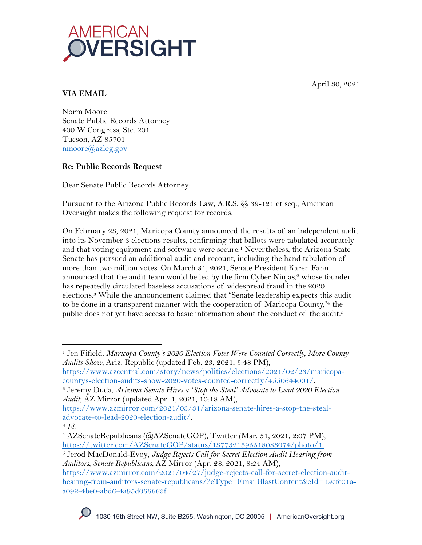April 30, 2021



# **VIA EMAIL**

Norm Moore Senate Public Records Attorney 400 W Congress, Ste. 201 Tucson, AZ 85701 nmoore@azleg.gov

## **Re: Public Records Request**

Dear Senate Public Records Attorney:

Pursuant to the Arizona Public Records Law, A.R.S. §§ 39-121 et seq., American Oversight makes the following request for records.

On February 23, 2021, Maricopa County announced the results of an independent audit into its November 3 elections results, confirming that ballots were tabulated accurately and that voting equipment and software were secure.1 Nevertheless, the Arizona State Senate has pursued an additional audit and recount, including the hand tabulation of more than two million votes. On March 31, 2021, Senate President Karen Fann announced that the audit team would be led by the firm Cyber Ninjas, $2$  whose founder has repeatedly circulated baseless accusations of widespread fraud in the 2020 elections.3 While the announcement claimed that "Senate leadership expects this audit to be done in a transparent manner with the cooperation of Maricopa County,"4 the public does not yet have access to basic information about the conduct of  $\,$  the audit. $^5$ 

<sup>1</sup> Jen Fifield, *Maricopa County's 2020 Election Votes Were Counted Correctly, More County Audits Show*, Ariz. Republic (updated Feb. 23, 2021, 5:48 PM),

https://www.azcentral.com/story/news/politics/elections/2021/02/23/maricopacountys-election-audits-show-2020-votes-counted-correctly/4550644001/. 2 Jeremy Duda, *Arizona Senate Hires a 'Stop the Steal' Advocate to Lead 2020 Election* 

*Audit*, AZ Mirror (updated Apr. 1, 2021, 10:18 AM),

https://www.azmirror.com/2021/03/31/arizona-senate-hires-a-stop-the-stealadvocate-to-lead-2020-election-audit/. 3 *Id.* 

<sup>4</sup> AZSenateRepublicans (@AZSenateGOP), Twitter (Mar. 31, 2021, 2:07 PM), https://twitter.com/AZSenateGOP/status/1377321595518083074/photo/1.

<sup>5</sup> Jerod MacDonald-Evoy, *Judge Rejects Call for Secret Election Audit Hearing from Auditors, Senate Republicans,* AZ Mirror (Apr. 28, 2021, 8:24 AM),

https://www.azmirror.com/2021/04/27/judge-rejects-call-for-secret-election-audithearing-from-auditors-senate-republicans/?eType=EmailBlastContent&eId=19cfc01aa092-4be0-abd6-4a95d066663f.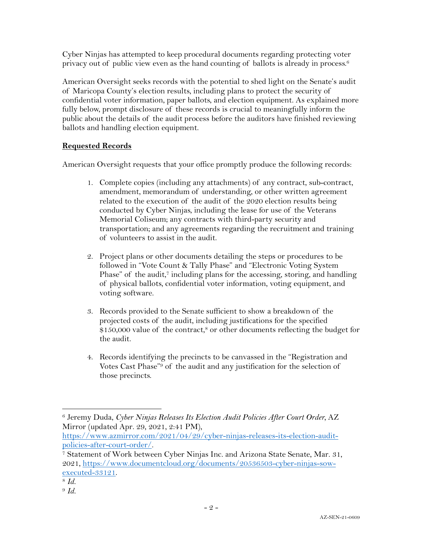Cyber Ninjas has attempted to keep procedural documents regarding protecting voter privacy out of public view even as the hand counting of <code>ballots</code> is already in process. $^6$ 

American Oversight seeks records with the potential to shed light on the Senate's audit of Maricopa County's election results, including plans to protect the security of confidential voter information, paper ballots, and election equipment. As explained more fully below, prompt disclosure of these records is crucial to meaningfully inform the public about the details of the audit process before the auditors have finished reviewing ballots and handling election equipment.

## **Requested Records**

American Oversight requests that your office promptly produce the following records:

- 1. Complete copies (including any attachments) of any contract, sub-contract, amendment, memorandum of understanding, or other written agreement related to the execution of the audit of the 2020 election results being conducted by Cyber Ninjas, including the lease for use of the Veterans Memorial Coliseum; any contracts with third-party security and transportation; and any agreements regarding the recruitment and training of volunteers to assist in the audit.
- 2. Project plans or other documents detailing the steps or procedures to be followed in "Vote Count & Tally Phase" and "Electronic Voting System Phase" of the audit,<sup>7</sup> including plans for the accessing, storing, and handling of physical ballots, confidential voter information, voting equipment, and voting software.
- 3. Records provided to the Senate sufficient to show a breakdown of the projected costs of the audit, including justifications for the specified \$150,000 value of the contract,<sup>8</sup> or other documents reflecting the budget for the audit.
- 4. Records identifying the precincts to be canvassed in the "Registration and Votes Cast Phase"9 of the audit and any justification for the selection of those precincts.

https://www.azmirror.com/2021/04/29/cyber-ninjas-releases-its-election-auditpolicies-after-court-order/.<br>7 Statement of Work between Cyber Ninjas Inc. and Arizona State Senate, Mar. 31,

<sup>6</sup> Jeremy Duda, *Cyber Ninjas Releases Its Election Audit Policies After Court Order,* AZ Mirror (updated Apr. 29, 2021, 2:41 PM),

<sup>2021,</sup> https://www.documentcloud.org/documents/20536503-cyber-ninjas-sowexecuted-33121.

<sup>8</sup> *Id.*

<sup>9</sup> *Id.*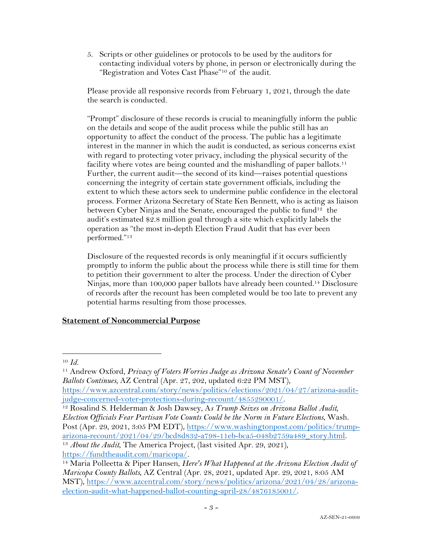5. Scripts or other guidelines or protocols to be used by the auditors for contacting individual voters by phone, in person or electronically during the "Registration and Votes Cast Phase"10 of the audit.

Please provide all responsive records from February 1, 2021, through the date the search is conducted.

"Prompt" disclosure of these records is crucial to meaningfully inform the public on the details and scope of the audit process while the public still has an opportunity to affect the conduct of the process. The public has a legitimate interest in the manner in which the audit is conducted, as serious concerns exist with regard to protecting voter privacy, including the physical security of the facility where votes are being counted and the mishandling of paper ballots.<sup>11</sup> Further, the current audit—the second of its kind—raises potential questions concerning the integrity of certain state government officials, including the extent to which these actors seek to undermine public confidence in the electoral process. Former Arizona Secretary of State Ken Bennett, who is acting as liaison between Cyber Ninjas and the Senate, encouraged the public to fund<sup>12</sup> the audit's estimated \$2.8 million goal through a site which explicitly labels the operation as "the most in-depth Election Fraud Audit that has ever been performed."13

Disclosure of the requested records is only meaningful if it occurs sufficiently promptly to inform the public about the process while there is still time for them to petition their government to alter the process. Under the direction of Cyber Ninjas, more than 100,000 paper ballots have already been counted. <sup>14</sup> Disclosure of records after the recount has been completed would be too late to prevent any potential harms resulting from those processes.

### **Statement of Noncommercial Purpose**

<sup>10</sup> *Id.* 

<sup>11</sup> Andrew Oxford, *Privacy of Voters Worries Judge as Arizona Senate's Count of November Ballots Continues*, AZ Central (Apr. 27, 202, updated 6:22 PM MST),

https://www.azcentral.com/story/news/politics/elections/2021/04/27/arizona-auditjudge-concerned-voter-protections-during-recount/4855290001/.

<sup>12</sup> Rosalind S. Helderman & Josh Dawsey, A*s Trump Seizes on Arizona Ballot Audit, Election Officials Fear Partisan Vote Counts Could be the Norm in Future Elections*, Wash. Post (Apr. 29, 2021, 3:05 PM EDT), https://www.washingtonpost.com/politics/trumparizona-recount/2021/04/29/bcd8d832-a798-11eb-bca5-048b2759a489\_story.html. 13 *About the Audit*, The America Project, (last visited Apr. 29, 2021),

https://fundtheaudit.com/maricopa/.

<sup>14</sup> Maria Polleetta & Piper Hansen, *Here's What Happened at the Arizona Election Audit of Maricopa County Ballots*, AZ Central (Apr. 28, 2021, updated Apr. 29, 2021, 8:05 AM MST), https://www.azcentral.com/story/news/politics/arizona/2021/04/28/arizonaelection-audit-what-happened-ballot-counting-april-28/4876185001/.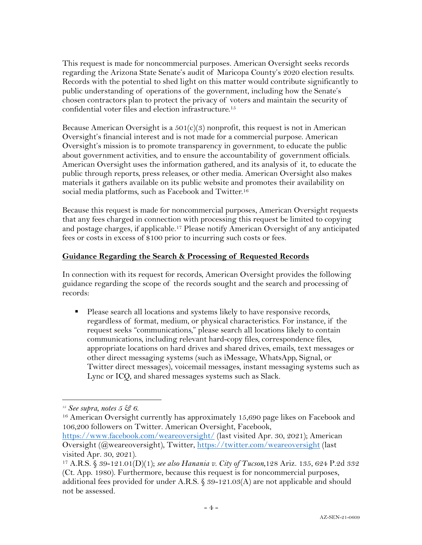This request is made for noncommercial purposes. American Oversight seeks records regarding the Arizona State Senate's audit of Maricopa County's 2020 election results. Records with the potential to shed light on this matter would contribute significantly to public understanding of operations of the government, including how the Senate's chosen contractors plan to protect the privacy of voters and maintain the security of confidential voter files and election infrastructure. 15

Because American Oversight is a  $501(c)(3)$  nonprofit, this request is not in American Oversight's financial interest and is not made for a commercial purpose. American Oversight's mission is to promote transparency in government, to educate the public about government activities, and to ensure the accountability of government officials. American Oversight uses the information gathered, and its analysis of it, to educate the public through reports, press releases, or other media. American Oversight also makes materials it gathers available on its public website and promotes their availability on social media platforms, such as Facebook and Twitter.<sup>16</sup>

Because this request is made for noncommercial purposes, American Oversight requests that any fees charged in connection with processing this request be limited to copying and postage charges, if applicable.17 Please notify American Oversight of any anticipated fees or costs in excess of \$100 prior to incurring such costs or fees.

#### **Guidance Regarding the Search & Processing of Requested Records**

In connection with its request for records, American Oversight provides the following guidance regarding the scope of the records sought and the search and processing of records:

■ Please search all locations and systems likely to have responsive records, regardless of format, medium, or physical characteristics. For instance, if the request seeks "communications," please search all locations likely to contain communications, including relevant hard-copy files, correspondence files, appropriate locations on hard drives and shared drives, emails, text messages or other direct messaging systems (such as iMessage, WhatsApp, Signal, or Twitter direct messages), voicemail messages, instant messaging systems such as Lync or ICQ, and shared messages systems such as Slack.

*<sup>15</sup> See supra, notes 5 & 6.*

<sup>&</sup>lt;sup>16</sup> American Oversight currently has approximately 15,690 page likes on Facebook and 106,200 followers on Twitter. American Oversight, Facebook,

https://www.facebook.com/weareoversight/ (last visited Apr. 30, 2021); American Oversight (@weareoversight), Twitter, https://twitter.com/weareoversight (last visited Apr. 30, 2021).

<sup>17</sup> A.R.S. § 39-121.01(D)(1); *see also Hanania v. City of Tucson*,128 Ariz. 135, 624 P.2d 332 (Ct. App. 1980). Furthermore, because this request is for noncommercial purposes, additional fees provided for under A.R.S.  $\frac{6}{9}$  39-121.03(A) are not applicable and should not be assessed.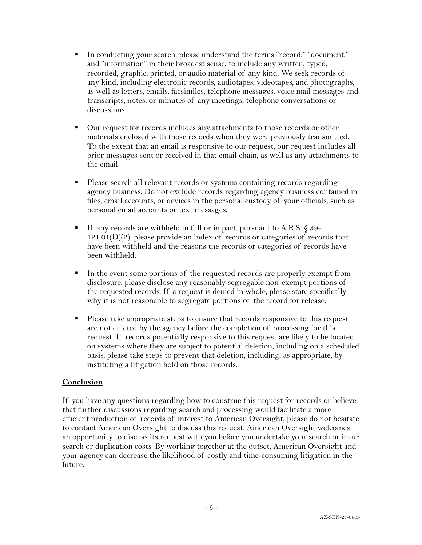- § In conducting your search, please understand the terms "record," "document," and "information" in their broadest sense, to include any written, typed, recorded, graphic, printed, or audio material of any kind. We seek records of any kind, including electronic records, audiotapes, videotapes, and photographs, as well as letters, emails, facsimiles, telephone messages, voice mail messages and transcripts, notes, or minutes of any meetings, telephone conversations or discussions.
- Our request for records includes any attachments to those records or other materials enclosed with those records when they were previously transmitted. To the extent that an email is responsive to our request, our request includes all prior messages sent or received in that email chain, as well as any attachments to the email.
- § Please search all relevant records or systems containing records regarding agency business. Do not exclude records regarding agency business contained in files, email accounts, or devices in the personal custody of your officials, such as personal email accounts or text messages.
- If any records are withheld in full or in part, pursuant to A.R.S. § 39- $121.01(D)(2)$ , please provide an index of records or categories of records that have been withheld and the reasons the records or categories of records have been withheld.
- In the event some portions of the requested records are properly exempt from disclosure, please disclose any reasonably segregable non-exempt portions of the requested records. If a request is denied in whole, please state specifically why it is not reasonable to segregate portions of the record for release.
- Please take appropriate steps to ensure that records responsive to this request are not deleted by the agency before the completion of processing for this request. If records potentially responsive to this request are likely to be located on systems where they are subject to potential deletion, including on a scheduled basis, please take steps to prevent that deletion, including, as appropriate, by instituting a litigation hold on those records.

### **Conclusion**

If you have any questions regarding how to construe this request for records or believe that further discussions regarding search and processing would facilitate a more efficient production of records of interest to American Oversight, please do not hesitate to contact American Oversight to discuss this request. American Oversight welcomes an opportunity to discuss its request with you before you undertake your search or incur search or duplication costs. By working together at the outset, American Oversight and your agency can decrease the likelihood of costly and time-consuming litigation in the future.